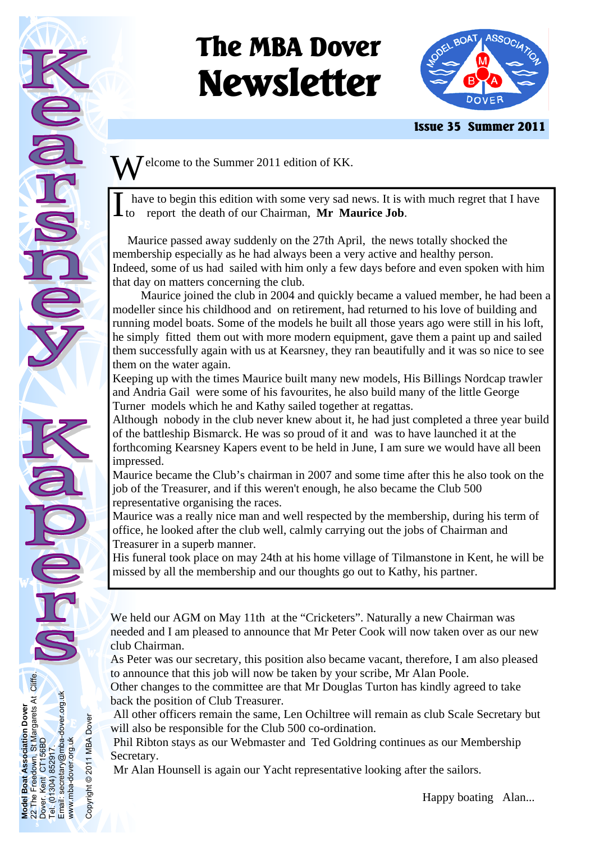# **The MBA Dover Newsletter**



 **Issue 35 Summer 2011** 

 $\overline{J}$  elcome to the Summer 2011 edition of KK.

have to begin this edition with some very sad news. It is with much regret that I have<br>to report the death of our Chairman. **Mr Maurice Job**. report the death of our Chairman, Mr Maurice Job.

 Maurice passed away suddenly on the 27th April, the news totally shocked the membership especially as he had always been a very active and healthy person. Indeed, some of us had sailed with him only a few days before and even spoken with him that day on matters concerning the club.

 Maurice joined the club in 2004 and quickly became a valued member, he had been a modeller since his childhood and on retirement, had returned to his love of building and running model boats. Some of the models he built all those years ago were still in his loft, he simply fitted them out with more modern equipment, gave them a paint up and sailed them successfully again with us at Kearsney, they ran beautifully and it was so nice to see them on the water again.

Keeping up with the times Maurice built many new models, His Billings Nordcap trawler and Andria Gail were some of his favourites, he also build many of the little George Turner models which he and Kathy sailed together at regattas.

Although nobody in the club never knew about it, he had just completed a three year build of the battleship Bismarck. He was so proud of it and was to have launched it at the forthcoming Kearsney Kapers event to be held in June, I am sure we would have all been impressed.

Maurice became the Club's chairman in 2007 and some time after this he also took on the job of the Treasurer, and if this weren't enough, he also became the Club 500 representative organising the races.

Maurice was a really nice man and well respected by the membership, during his term of office, he looked after the club well, calmly carrying out the jobs of Chairman and Treasurer in a superb manner.

His funeral took place on may 24th at his home village of Tilmanstone in Kent, he will be missed by all the membership and our thoughts go out to Kathy, his partner.

We held our AGM on May 11th at the "Cricketers". Naturally a new Chairman was needed and I am pleased to announce that Mr Peter Cook will now taken over as our new club Chairman.

As Peter was our secretary, this position also became vacant, therefore, I am also pleased to announce that this job will now be taken by your scribe, Mr Alan Poole.

Other changes to the committee are that Mr Douglas Turton has kindly agreed to take back the position of Club Treasurer.

 All other officers remain the same, Len Ochiltree will remain as club Scale Secretary but will also be responsible for the Club 500 co-ordination.

 Phil Ribton stays as our Webmaster and Ted Goldring continues as our Membership Secretary.

Mr Alan Hounsell is again our Yacht representative looking after the sailors.

**Model Boat Association Dover**  22 The Freedown, St Margarets At Cliffe.

**Boat** 

**Model** 

Boat Association Dover<br>Freedown, St Margarets At Cliffe.<br>Kent CT156BD

Dover. Kent CT156BD Tel. (01304) 852917.

852917

304) ē Email:

ď

Email: secretary@mba-dover.org.uk

Email: secretary@mba-dover.org.uk<br>www.mba-dover.org.uk

www.mba-dover.org.uk

Copyright © 2011 MBA Dover

Copyright @ 2011 MBA Dover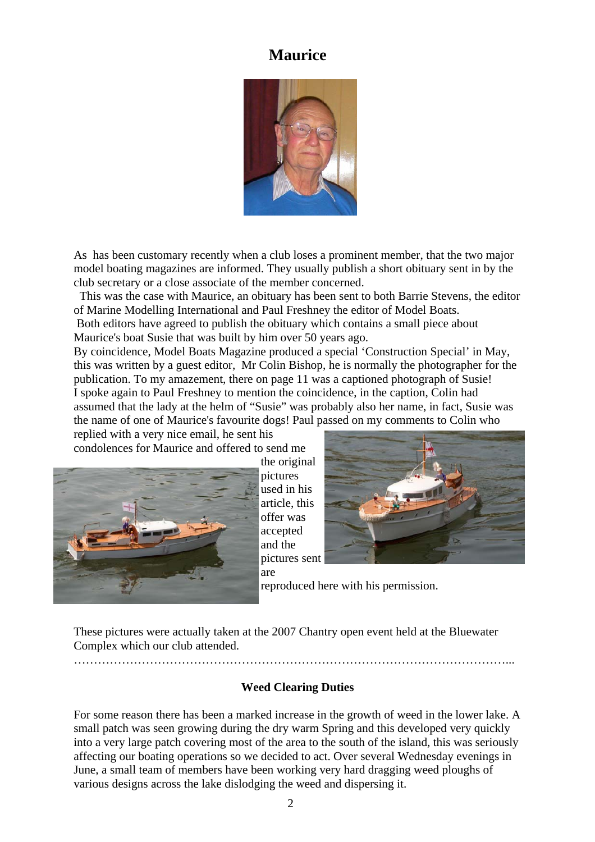# **Maurice**



As has been customary recently when a club loses a prominent member, that the two major model boating magazines are informed. They usually publish a short obituary sent in by the club secretary or a close associate of the member concerned.

 This was the case with Maurice, an obituary has been sent to both Barrie Stevens, the editor of Marine Modelling International and Paul Freshney the editor of Model Boats.

 Both editors have agreed to publish the obituary which contains a small piece about Maurice's boat Susie that was built by him over 50 years ago.

By coincidence, Model Boats Magazine produced a special 'Construction Special' in May, this was written by a guest editor, Mr Colin Bishop, he is normally the photographer for the publication. To my amazement, there on page 11 was a captioned photograph of Susie! I spoke again to Paul Freshney to mention the coincidence, in the caption, Colin had assumed that the lady at the helm of "Susie" was probably also her name, in fact, Susie was the name of one of Maurice's favourite dogs! Paul passed on my comments to Colin who replied with a very nice email, he sent his

condolences for Maurice and offered to send me



the original pictures used in his article, this offer was accepted and the pictures sent are



reproduced here with his permission.

These pictures were actually taken at the 2007 Chantry open event held at the Bluewater Complex which our club attended. ………………………………………………………………………………………………...

#### **Weed Clearing Duties**

For some reason there has been a marked increase in the growth of weed in the lower lake. A small patch was seen growing during the dry warm Spring and this developed very quickly into a very large patch covering most of the area to the south of the island, this was seriously affecting our boating operations so we decided to act. Over several Wednesday evenings in June, a small team of members have been working very hard dragging weed ploughs of various designs across the lake dislodging the weed and dispersing it.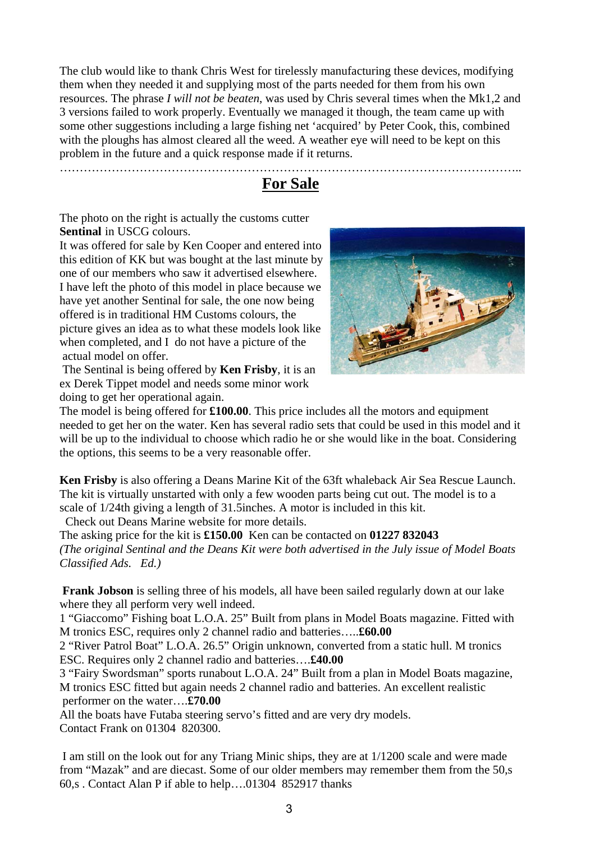The club would like to thank Chris West for tirelessly manufacturing these devices, modifying them when they needed it and supplying most of the parts needed for them from his own resources. The phrase *I will not be beaten*, was used by Chris several times when the Mk1,2 and 3 versions failed to work properly. Eventually we managed it though, the team came up with some other suggestions including a large fishing net 'acquired' by Peter Cook, this, combined with the ploughs has almost cleared all the weed. A weather eye will need to be kept on this problem in the future and a quick response made if it returns.

…………………………………………………………………………………………………….. **For Sale** 

The photo on the right is actually the customs cutter **Sentinal** in USCG colours.

It was offered for sale by Ken Cooper and entered into this edition of KK but was bought at the last minute by one of our members who saw it advertised elsewhere. I have left the photo of this model in place because we have yet another Sentinal for sale, the one now being offered is in traditional HM Customs colours, the picture gives an idea as to what these models look like when completed, and I do not have a picture of the actual model on offer.

 The Sentinal is being offered by **Ken Frisby**, it is an ex Derek Tippet model and needs some minor work doing to get her operational again.



The model is being offered for **£100.00**. This price includes all the motors and equipment needed to get her on the water. Ken has several radio sets that could be used in this model and it will be up to the individual to choose which radio he or she would like in the boat. Considering the options, this seems to be a very reasonable offer.

**Ken Frisby** is also offering a Deans Marine Kit of the 63ft whaleback Air Sea Rescue Launch. The kit is virtually unstarted with only a few wooden parts being cut out. The model is to a scale of 1/24th giving a length of 31.5inches. A motor is included in this kit.

Check out Deans Marine website for more details.

The asking price for the kit is **£150.00** Ken can be contacted on **01227 832043** *(The original Sentinal and the Deans Kit were both advertised in the July issue of Model Boats Classified Ads. Ed.)* 

**Frank Jobson** is selling three of his models, all have been sailed regularly down at our lake where they all perform very well indeed.

1 "Giaccomo" Fishing boat L.O.A. 25" Built from plans in Model Boats magazine. Fitted with M tronics ESC, requires only 2 channel radio and batteries…..**£60.00**

2 "River Patrol Boat" L.O.A. 26.5" Origin unknown, converted from a static hull. M tronics ESC. Requires only 2 channel radio and batteries….**£40.00**

3 "Fairy Swordsman" sports runabout L.O.A. 24" Built from a plan in Model Boats magazine, M tronics ESC fitted but again needs 2 channel radio and batteries. An excellent realistic performer on the water….**£70.00**

All the boats have Futaba steering servo's fitted and are very dry models. Contact Frank on 01304 820300.

 I am still on the look out for any Triang Minic ships, they are at 1/1200 scale and were made from "Mazak" and are diecast. Some of our older members may remember them from the 50,s 60,s . Contact Alan P if able to help….01304 852917 thanks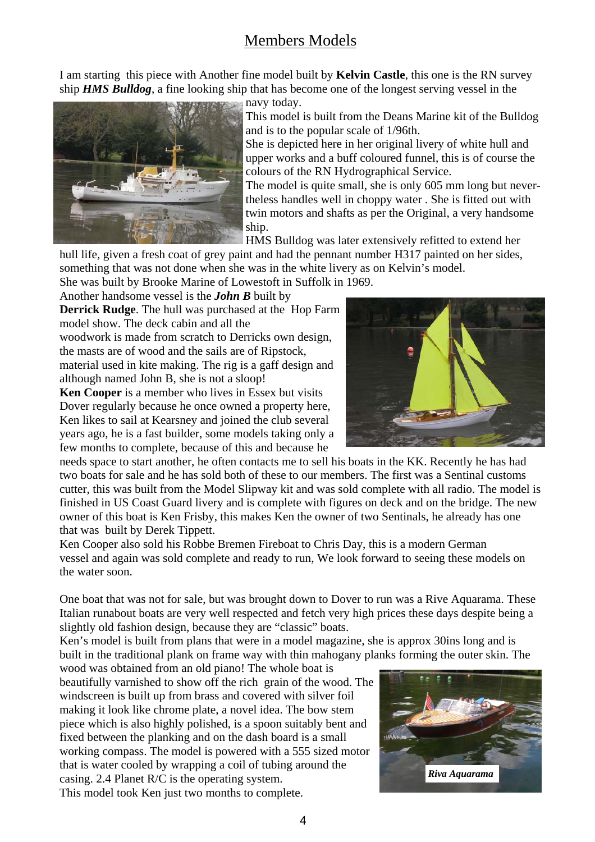# Members Models

I am starting this piece with Another fine model built by **Kelvin Castle**, this one is the RN survey ship *HMS Bulldog*, a fine looking ship that has become one of the longest serving vessel in the



navy today.

This model is built from the Deans Marine kit of the Bulldog and is to the popular scale of 1/96th.

She is depicted here in her original livery of white hull and upper works and a buff coloured funnel, this is of course the colours of the RN Hydrographical Service.

The model is quite small, she is only 605 mm long but nevertheless handles well in choppy water . She is fitted out with twin motors and shafts as per the Original, a very handsome ship.

HMS Bulldog was later extensively refitted to extend her

hull life, given a fresh coat of grey paint and had the pennant number H317 painted on her sides, something that was not done when she was in the white livery as on Kelvin's model.

She was built by Brooke Marine of Lowestoft in Suffolk in 1969.

Another handsome vessel is the *John B* built by **Derrick Rudge**. The hull was purchased at the Hop Farm model show. The deck cabin and all the woodwork is made from scratch to Derricks own design, the masts are of wood and the sails are of Ripstock,

material used in kite making. The rig is a gaff design and although named John B, she is not a sloop!

**Ken Cooper** is a member who lives in Essex but visits Dover regularly because he once owned a property here, Ken likes to sail at Kearsney and joined the club several years ago, he is a fast builder, some models taking only a few months to complete, because of this and because he



needs space to start another, he often contacts me to sell his boats in the KK. Recently he has had two boats for sale and he has sold both of these to our members. The first was a Sentinal customs cutter, this was built from the Model Slipway kit and was sold complete with all radio. The model is finished in US Coast Guard livery and is complete with figures on deck and on the bridge. The new owner of this boat is Ken Frisby, this makes Ken the owner of two Sentinals, he already has one that was built by Derek Tippett.

Ken Cooper also sold his Robbe Bremen Fireboat to Chris Day, this is a modern German vessel and again was sold complete and ready to run, We look forward to seeing these models on the water soon.

One boat that was not for sale, but was brought down to Dover to run was a Rive Aquarama. These Italian runabout boats are very well respected and fetch very high prices these days despite being a slightly old fashion design, because they are "classic" boats.

Ken's model is built from plans that were in a model magazine, she is approx 30ins long and is built in the traditional plank on frame way with thin mahogany planks forming the outer skin. The

wood was obtained from an old piano! The whole boat is beautifully varnished to show off the rich grain of the wood. The windscreen is built up from brass and covered with silver foil making it look like chrome plate, a novel idea. The bow stem piece which is also highly polished, is a spoon suitably bent and fixed between the planking and on the dash board is a small working compass. The model is powered with a 555 sized motor that is water cooled by wrapping a coil of tubing around the casing. 2.4 Planet R/C is the operating system. This model took Ken just two months to complete.

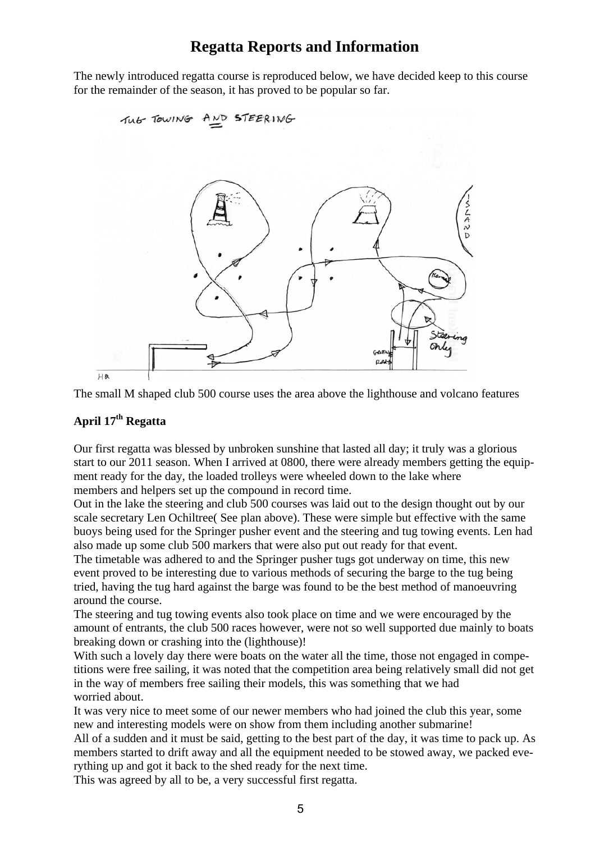# **Regatta Reports and Information**

The newly introduced regatta course is reproduced below, we have decided keep to this course for the remainder of the season, it has proved to be popular so far.



The small M shaped club 500 course uses the area above the lighthouse and volcano features

## **April 17th Regatta**

Our first regatta was blessed by unbroken sunshine that lasted all day; it truly was a glorious start to our 2011 season. When I arrived at 0800, there were already members getting the equipment ready for the day, the loaded trolleys were wheeled down to the lake where members and helpers set up the compound in record time.

Out in the lake the steering and club 500 courses was laid out to the design thought out by our scale secretary Len Ochiltree( See plan above). These were simple but effective with the same buoys being used for the Springer pusher event and the steering and tug towing events. Len had also made up some club 500 markers that were also put out ready for that event.

The timetable was adhered to and the Springer pusher tugs got underway on time, this new event proved to be interesting due to various methods of securing the barge to the tug being tried, having the tug hard against the barge was found to be the best method of manoeuvring around the course.

The steering and tug towing events also took place on time and we were encouraged by the amount of entrants, the club 500 races however, were not so well supported due mainly to boats breaking down or crashing into the (lighthouse)!

With such a lovely day there were boats on the water all the time, those not engaged in competitions were free sailing, it was noted that the competition area being relatively small did not get in the way of members free sailing their models, this was something that we had worried about.

It was very nice to meet some of our newer members who had joined the club this year, some new and interesting models were on show from them including another submarine!

All of a sudden and it must be said, getting to the best part of the day, it was time to pack up. As members started to drift away and all the equipment needed to be stowed away, we packed everything up and got it back to the shed ready for the next time.

This was agreed by all to be, a very successful first regatta.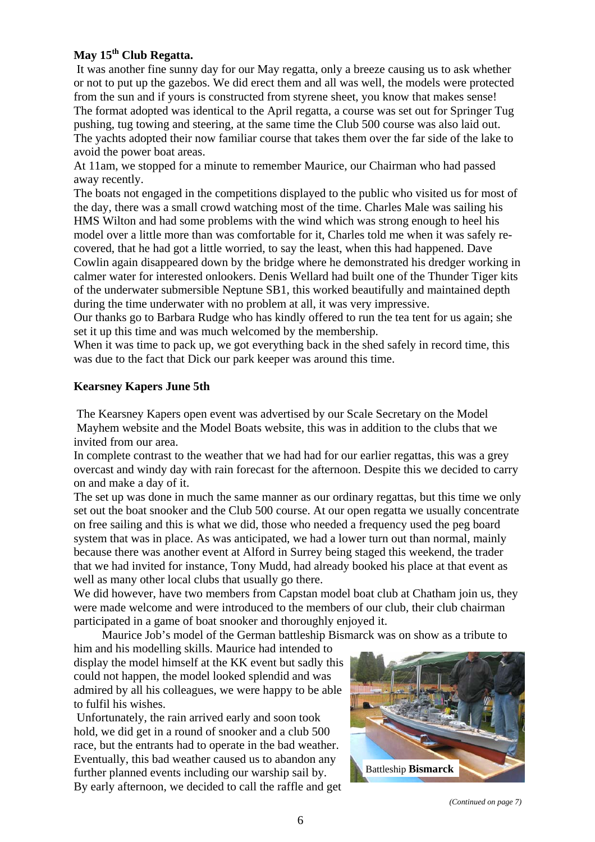## **May 15th Club Regatta.**

 It was another fine sunny day for our May regatta, only a breeze causing us to ask whether or not to put up the gazebos. We did erect them and all was well, the models were protected from the sun and if yours is constructed from styrene sheet, you know that makes sense! The format adopted was identical to the April regatta, a course was set out for Springer Tug pushing, tug towing and steering, at the same time the Club 500 course was also laid out. The yachts adopted their now familiar course that takes them over the far side of the lake to avoid the power boat areas.

At 11am, we stopped for a minute to remember Maurice, our Chairman who had passed away recently.

The boats not engaged in the competitions displayed to the public who visited us for most of the day, there was a small crowd watching most of the time. Charles Male was sailing his HMS Wilton and had some problems with the wind which was strong enough to heel his model over a little more than was comfortable for it, Charles told me when it was safely recovered, that he had got a little worried, to say the least, when this had happened. Dave Cowlin again disappeared down by the bridge where he demonstrated his dredger working in calmer water for interested onlookers. Denis Wellard had built one of the Thunder Tiger kits of the underwater submersible Neptune SB1, this worked beautifully and maintained depth during the time underwater with no problem at all, it was very impressive.

Our thanks go to Barbara Rudge who has kindly offered to run the tea tent for us again; she set it up this time and was much welcomed by the membership.

When it was time to pack up, we got everything back in the shed safely in record time, this was due to the fact that Dick our park keeper was around this time.

#### **Kearsney Kapers June 5th**

 The Kearsney Kapers open event was advertised by our Scale Secretary on the Model Mayhem website and the Model Boats website, this was in addition to the clubs that we invited from our area.

In complete contrast to the weather that we had had for our earlier regattas, this was a grey overcast and windy day with rain forecast for the afternoon. Despite this we decided to carry on and make a day of it.

The set up was done in much the same manner as our ordinary regattas, but this time we only set out the boat snooker and the Club 500 course. At our open regatta we usually concentrate on free sailing and this is what we did, those who needed a frequency used the peg board system that was in place. As was anticipated, we had a lower turn out than normal, mainly because there was another event at Alford in Surrey being staged this weekend, the trader that we had invited for instance, Tony Mudd, had already booked his place at that event as well as many other local clubs that usually go there.

We did however, have two members from Capstan model boat club at Chatham join us, they were made welcome and were introduced to the members of our club, their club chairman participated in a game of boat snooker and thoroughly enjoyed it.

Maurice Job's model of the German battleship Bismarck was on show as a tribute to

him and his modelling skills. Maurice had intended to display the model himself at the KK event but sadly this could not happen, the model looked splendid and was admired by all his colleagues, we were happy to be able to fulfil his wishes.

 Unfortunately, the rain arrived early and soon took hold, we did get in a round of snooker and a club 500 race, but the entrants had to operate in the bad weather. Eventually, this bad weather caused us to abandon any further planned events including our warship sail by. By early afternoon, we decided to call the raffle and get



*(Continued on page 7)*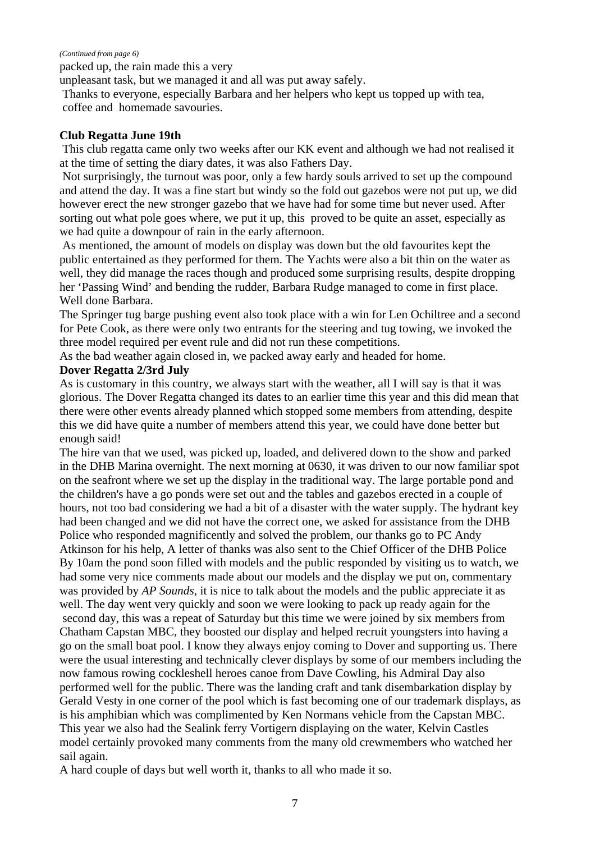#### *(Continued from page 6)*

packed up, the rain made this a very

unpleasant task, but we managed it and all was put away safely.

 Thanks to everyone, especially Barbara and her helpers who kept us topped up with tea, coffee and homemade savouries.

#### **Club Regatta June 19th**

 This club regatta came only two weeks after our KK event and although we had not realised it at the time of setting the diary dates, it was also Fathers Day.

 Not surprisingly, the turnout was poor, only a few hardy souls arrived to set up the compound and attend the day. It was a fine start but windy so the fold out gazebos were not put up, we did however erect the new stronger gazebo that we have had for some time but never used. After sorting out what pole goes where, we put it up, this proved to be quite an asset, especially as we had quite a downpour of rain in the early afternoon.

 As mentioned, the amount of models on display was down but the old favourites kept the public entertained as they performed for them. The Yachts were also a bit thin on the water as well, they did manage the races though and produced some surprising results, despite dropping her 'Passing Wind' and bending the rudder, Barbara Rudge managed to come in first place. Well done Barbara.

The Springer tug barge pushing event also took place with a win for Len Ochiltree and a second for Pete Cook, as there were only two entrants for the steering and tug towing, we invoked the three model required per event rule and did not run these competitions.

As the bad weather again closed in, we packed away early and headed for home.

#### **Dover Regatta 2/3rd July**

As is customary in this country, we always start with the weather, all I will say is that it was glorious. The Dover Regatta changed its dates to an earlier time this year and this did mean that there were other events already planned which stopped some members from attending, despite this we did have quite a number of members attend this year, we could have done better but enough said!

The hire van that we used, was picked up, loaded, and delivered down to the show and parked in the DHB Marina overnight. The next morning at 0630, it was driven to our now familiar spot on the seafront where we set up the display in the traditional way. The large portable pond and the children's have a go ponds were set out and the tables and gazebos erected in a couple of hours, not too bad considering we had a bit of a disaster with the water supply. The hydrant key had been changed and we did not have the correct one, we asked for assistance from the DHB Police who responded magnificently and solved the problem, our thanks go to PC Andy Atkinson for his help, A letter of thanks was also sent to the Chief Officer of the DHB Police By 10am the pond soon filled with models and the public responded by visiting us to watch, we had some very nice comments made about our models and the display we put on, commentary was provided by *AP Sounds*, it is nice to talk about the models and the public appreciate it as well. The day went very quickly and soon we were looking to pack up ready again for the second day, this was a repeat of Saturday but this time we were joined by six members from Chatham Capstan MBC, they boosted our display and helped recruit youngsters into having a go on the small boat pool. I know they always enjoy coming to Dover and supporting us. There were the usual interesting and technically clever displays by some of our members including the now famous rowing cockleshell heroes canoe from Dave Cowling, his Admiral Day also performed well for the public. There was the landing craft and tank disembarkation display by Gerald Vesty in one corner of the pool which is fast becoming one of our trademark displays, as is his amphibian which was complimented by Ken Normans vehicle from the Capstan MBC. This year we also had the Sealink ferry Vortigern displaying on the water, Kelvin Castles model certainly provoked many comments from the many old crewmembers who watched her sail again.

A hard couple of days but well worth it, thanks to all who made it so.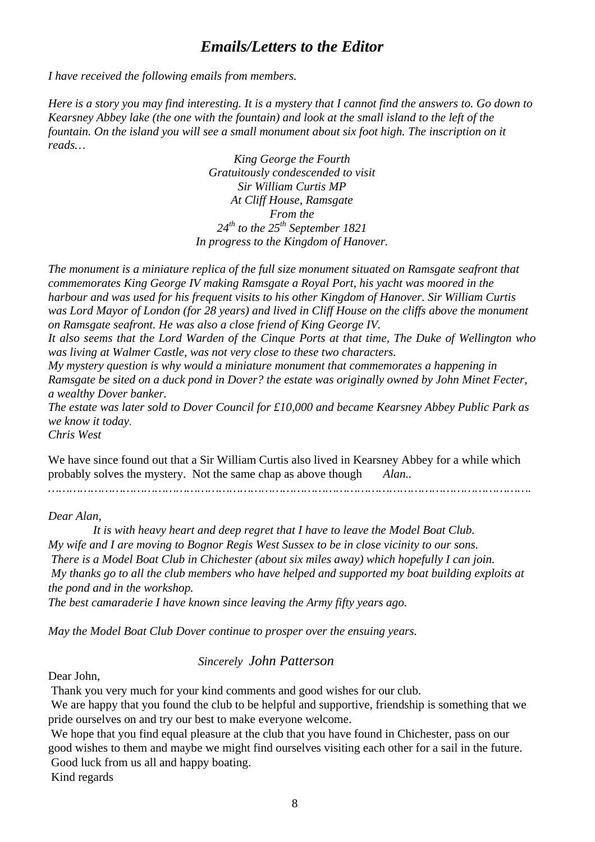## *Emails/Letters to the Editor*

*I have received the following emails from members.* 

*Here is a story you may find interesting. It is a mystery that I cannot find the answers to. Go down to Kearsney Abbey lake (the one with the fountain) and look at the small island to the left of the fountain. On the island you will see a small monument about six foot high. The inscription on it reads…* 

> *King George the Fourth Gratuitously condescended to visit Sir William Curtis MP At Cliff House, Ramsgate From the*   $24<sup>th</sup>$  to the  $25<sup>th</sup>$  September 1821 *In progress to the Kingdom of Hanover.*

*The monument is a miniature replica of the full size monument situated on Ramsgate seafront that commemorates King George IV making Ramsgate a Royal Port, his yacht was moored in the harbour and was used for his frequent visits to his other Kingdom of Hanover. Sir William Curtis was Lord Mayor of London (for 28 years) and lived in Cliff House on the cliffs above the monument on Ramsgate seafront. He was also a close friend of King George IV.* 

*It also seems that the Lord Warden of the Cinque Ports at that time, The Duke of Wellington who was living at Walmer Castle, was not very close to these two characters.* 

*My mystery question is why would a miniature monument that commemorates a happening in Ramsgate be sited on a duck pond in Dover? the estate was originally owned by John Minet Fecter, a wealthy Dover banker.* 

*The estate was later sold to Dover Council for £10,000 and became Kearsney Abbey Public Park as we know it today*. *Chris West* 

We have since found out that a Sir William Curtis also lived in Kearsney Abbey for a while which probably solves the mystery. Not the same chap as above though *Alan..* 

*……………………………………………………………………………………………………………………….* 

#### *Dear Alan,*

 *It is with heavy heart and deep regret that I have to leave the Model Boat Club. My wife and I are moving to Bognor Regis West Sussex to be in close vicinity to our sons. There is a Model Boat Club in Chichester (about six miles away) which hopefully I can join. My thanks go to all the club members who have helped and supported my boat building exploits at the pond and in the workshop. The best camaraderie I have known since leaving the Army fifty years ago.* 

*May the Model Boat Club Dover continue to prosper over the ensuing years.* 

#### *Sincerely John Patterson*

Dear John,

Thank you very much for your kind comments and good wishes for our club.

 We are happy that you found the club to be helpful and supportive, friendship is something that we pride ourselves on and try our best to make everyone welcome.

 We hope that you find equal pleasure at the club that you have found in Chichester, pass on our good wishes to them and maybe we might find ourselves visiting each other for a sail in the future. Good luck from us all and happy boating.

Kind regards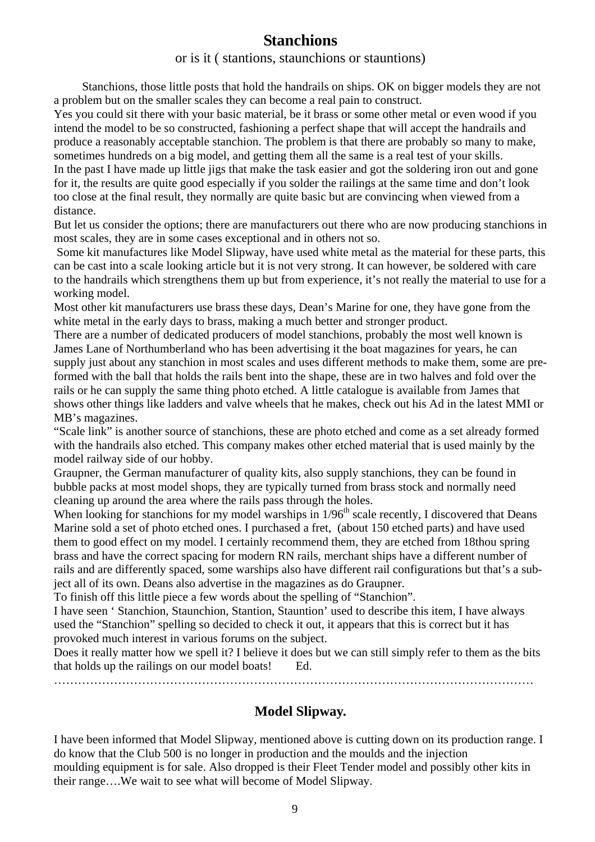## **Stanchions**

or is it ( stantions, staunchions or stauntions)

 Stanchions, those little posts that hold the handrails on ships. OK on bigger models they are not a problem but on the smaller scales they can become a real pain to construct.

Yes you could sit there with your basic material, be it brass or some other metal or even wood if you intend the model to be so constructed, fashioning a perfect shape that will accept the handrails and produce a reasonably acceptable stanchion. The problem is that there are probably so many to make, sometimes hundreds on a big model, and getting them all the same is a real test of your skills. In the past I have made up little jigs that make the task easier and got the soldering iron out and gone for it, the results are quite good especially if you solder the railings at the same time and don't look too close at the final result, they normally are quite basic but are convincing when viewed from a distance.

But let us consider the options; there are manufacturers out there who are now producing stanchions in most scales, they are in some cases exceptional and in others not so.

 Some kit manufactures like Model Slipway, have used white metal as the material for these parts, this can be cast into a scale looking article but it is not very strong. It can however, be soldered with care to the handrails which strengthens them up but from experience, it's not really the material to use for a working model.

Most other kit manufacturers use brass these days, Dean's Marine for one, they have gone from the white metal in the early days to brass, making a much better and stronger product.

There are a number of dedicated producers of model stanchions, probably the most well known is James Lane of Northumberland who has been advertising it the boat magazines for years, he can supply just about any stanchion in most scales and uses different methods to make them, some are preformed with the ball that holds the rails bent into the shape, these are in two halves and fold over the rails or he can supply the same thing photo etched. A little catalogue is available from James that shows other things like ladders and valve wheels that he makes, check out his Ad in the latest MMI or MB's magazines.

"Scale link" is another source of stanchions, these are photo etched and come as a set already formed with the handrails also etched. This company makes other etched material that is used mainly by the model railway side of our hobby.

Graupner, the German manufacturer of quality kits, also supply stanchions, they can be found in bubble packs at most model shops, they are typically turned from brass stock and normally need cleaning up around the area where the rails pass through the holes.

When looking for stanchions for my model warships in  $1/96<sup>th</sup>$  scale recently, I discovered that Deans Marine sold a set of photo etched ones. I purchased a fret, (about 150 etched parts) and have used them to good effect on my model. I certainly recommend them, they are etched from 18thou spring brass and have the correct spacing for modern RN rails, merchant ships have a different number of rails and are differently spaced, some warships also have different rail configurations but that's a subject all of its own. Deans also advertise in the magazines as do Graupner.

To finish off this little piece a few words about the spelling of "Stanchion".

I have seen ' Stanchion, Staunchion, Stantion, Stauntion' used to describe this item, I have always used the "Stanchion" spelling so decided to check it out, it appears that this is correct but it has provoked much interest in various forums on the subject.

Does it really matter how we spell it? I believe it does but we can still simply refer to them as the bits that holds up the railings on our model boats! Ed.

…………………………………………………………………………………………………………

## **Model Slipway.**

I have been informed that Model Slipway, mentioned above is cutting down on its production range. I do know that the Club 500 is no longer in production and the moulds and the injection moulding equipment is for sale. Also dropped is their Fleet Tender model and possibly other kits in their range….We wait to see what will become of Model Slipway.